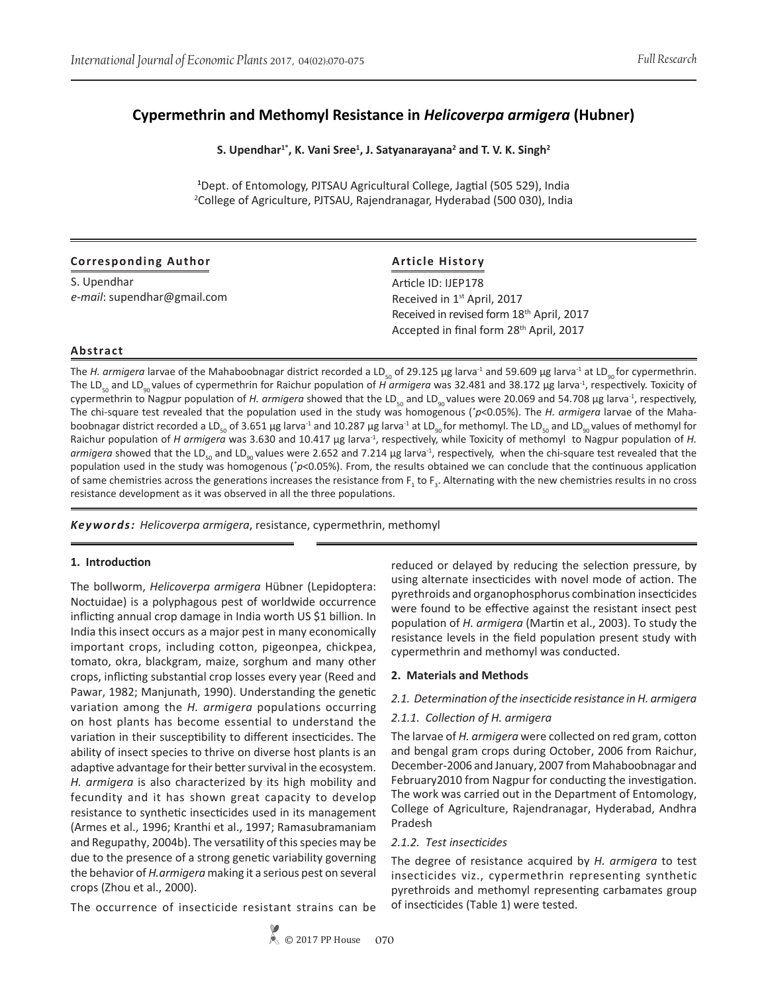## **Cypermethrin and Methomyl Resistance in** *Helicoverpa armigera* **(Hubner)**

S. Upendhar<sup>1\*</sup>, K. Vani Sree<sup>1</sup>, J. Satyanarayana<sup>2</sup> and T. V. K. Singh<sup>2</sup>

**1** Dept. of Entomology, PJTSAU Agricultural College, Jagtial (505 529), India 2 College of Agriculture, PJTSAU, Rajendranagar, Hyderabad (500 030), India

| <b>Corresponding Author</b> | <b>Article History</b>                                |  |  |  |  |  |
|-----------------------------|-------------------------------------------------------|--|--|--|--|--|
| S. Upendhar                 | Article ID: IJEP178                                   |  |  |  |  |  |
| e-mail: supendhar@gmail.com | Received in 1 <sup>st</sup> April, 2017               |  |  |  |  |  |
|                             | Received in revised form 18 <sup>th</sup> April, 2017 |  |  |  |  |  |
|                             | Accepted in final form 28 <sup>th</sup> April, 2017   |  |  |  |  |  |

# **Abstract**

The *H. armigera* larvae of the Mahaboobnagar district recorded a LD<sub>s0</sub> of 29.125 µg larva<sup>-1</sup> and 59.609 µg larva<sup>-1</sup> at LD<sub>90</sub> for cypermethrin. The LD<sub>s0</sub> and LD<sub>90</sub> values of cypermethrin for Raichur population of *H armigera* was 32.481 and 38.172 μg larva<sup>-1</sup>, respectively. Toxicity of cypermethrin to Nagpur population of *H. armigera* showed that the LD<sub>50</sub> and LD<sub>90</sub> values were 20.069 and 54.708 µg larva<sup>-1</sup>, respectively, The chi-square test revealed that the population used in the study was homogenous (*\* p*<0.05%). The *H. armigera* larvae of the Mahaboobnagar district recorded a LD<sub>so</sub> of 3.651 µg larva<sup>-1</sup> and 10.287 µg larva<sup>-1</sup> at LD<sub>90</sub> for methomyl. The LD<sub>so</sub> and LD<sub>90</sub> values of methomyl for Raichur population of *H armigera* was 3.630 and 10.417 µg larva<sup>-1</sup>, respectively, while Toxicity of methomyl to Nagpur population of *H*. armigera showed that the LD<sub>50</sub> and LD<sub>90</sub> values were 2.652 and 7.214 µg larva<sup>-1</sup>, respectively, when the chi-square test revealed that the population used in the study was homogenous ( $p$ <0.05%). From, the results obtained we can conclude that the continuous application of same chemistries across the generations increases the resistance from  $F_1$  to  $F_3$ . Alternating with the new chemistries results in no cross resistance development as it was observed in all the three populations.

*Keywords: Helicoverpa armigera*, resistance, cypermethrin, methomyl

#### **1. Introduction**

The bollworm, *Helicoverpa armigera* Hübner (Lepidoptera: Noctuidae) is a polyphagous pest of worldwide occurrence inflicting annual crop damage in India worth US \$1 billion. In India this insect occurs as a major pest in many economically important crops, including cotton, pigeonpea, chickpea, tomato, okra, blackgram, maize, sorghum and many other crops, inflicting substantial crop losses every year (Reed and Pawar, 1982; Manjunath, 1990). Understanding the genetic variation among the *H. armigera* populations occurring on host plants has become essential to understand the variation in their susceptibility to different insecticides. The ability of insect species to thrive on diverse host plants is an adaptive advantage for their better survival in the ecosystem. *H. armigera* is also characterized by its high mobility and fecundity and it has shown great capacity to develop resistance to synthetic insecticides used in its management (Armes et al., 1996; Kranthi et al., 1997; Ramasubramaniam and Regupathy, 2004b). The versatility of this species may be due to the presence of a strong genetic variability governing the behavior of *H.armigera* making it a serious pest on several crops (Zhou et al., 2000).

The occurrence of insecticide resistant strains can be

reduced or delayed by reducing the selection pressure, by using alternate insecticides with novel mode of action. The pyrethroids and organophosphorus combination insecticides were found to be effective against the resistant insect pest population of *H. armigera* (Martin et al., 2003). To study the resistance levels in the field population present study with cypermethrin and methomyl was conducted.

#### **2. Materials and Methods**

#### *2.1. Determination of the insecticide resistance in H. armigera*

#### *2.1.1. Collection of H. armigera*

The larvae of *H. armigera* were collected on red gram, cotton and bengal gram crops during October, 2006 from Raichur, December-2006 and January, 2007 from Mahaboobnagar and February2010 from Nagpur for conducting the investigation. The work was carried out in the Department of Entomology, College of Agriculture, Rajendranagar, Hyderabad, Andhra Pradesh

#### *2.1.2. Test insecticides*

The degree of resistance acquired by *H. armigera* to test insecticides viz., cypermethrin representing synthetic pyrethroids and methomyl representing carbamates group of insecticides (Table 1) were tested.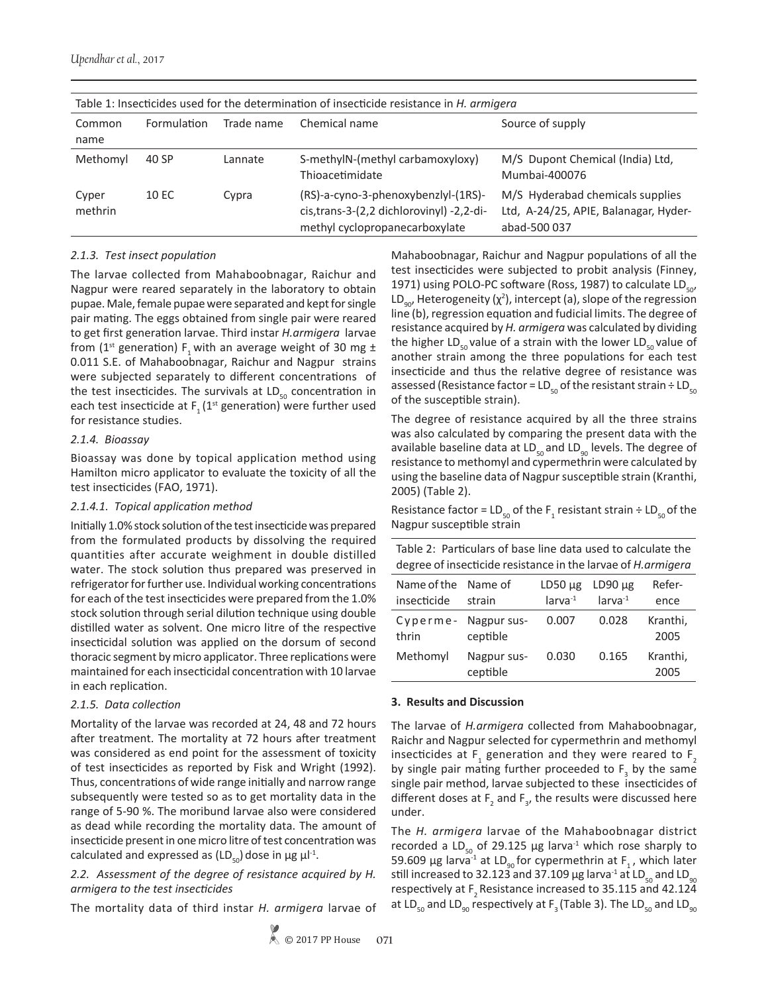*Upendhar et al.*, 2017

| Table 1: Insecticides used for the determination of insecticide resistance in H. armigera |             |            |                                                                                                                     |                                                                                           |  |  |  |  |
|-------------------------------------------------------------------------------------------|-------------|------------|---------------------------------------------------------------------------------------------------------------------|-------------------------------------------------------------------------------------------|--|--|--|--|
| Common<br>name                                                                            | Formulation | Trade name | Chemical name                                                                                                       | Source of supply                                                                          |  |  |  |  |
| Methomyl                                                                                  | 40 SP       | Lannate    | S-methylN-(methyl carbamoxyloxy)<br>Thioacetimidate                                                                 | M/S Dupont Chemical (India) Ltd,<br>Mumbai-400076                                         |  |  |  |  |
| Cyper<br>methrin                                                                          | 10 EC       | Cypra      | (RS)-a-cyno-3-phenoxybenzlyl-(1RS)-<br>cis, trans-3-(2,2 dichlorovinyl) -2, 2-di-<br>methyl cyclopropanecarboxylate | M/S Hyderabad chemicals supplies<br>Ltd, A-24/25, APIE, Balanagar, Hyder-<br>abad-500 037 |  |  |  |  |

## *2.1.3. Test insect population*

The larvae collected from Mahaboobnagar, Raichur and Nagpur were reared separately in the laboratory to obtain pupae. Male, female pupae were separated and kept for single pair mating. The eggs obtained from single pair were reared to get first generation larvae. Third instar *H.armigera* larvae from (1<sup>st</sup> generation) F<sub>1</sub> with an average weight of 30 mg  $\pm$ 0.011 S.E. of Mahaboobnagar, Raichur and Nagpur strains were subjected separately to different concentrations of the test insecticides. The survivals at  $LD_{50}$  concentration in each test insecticide at  $F_1 (1^{st}$  generation) were further used for resistance studies.

#### *2.1.4. Bioassay*

Bioassay was done by topical application method using Hamilton micro applicator to evaluate the toxicity of all the test insecticides (FAO, 1971).

## *2.1.4.1. Topical application method*

Initially 1.0% stock solution of the test insecticide was prepared from the formulated products by dissolving the required quantities after accurate weighment in double distilled water. The stock solution thus prepared was preserved in refrigerator for further use. Individual working concentrations for each of the test insecticides were prepared from the 1.0% stock solution through serial dilution technique using double distilled water as solvent. One micro litre of the respective insecticidal solution was applied on the dorsum of second thoracic segment by micro applicator. Three replications were maintained for each insecticidal concentration with 10 larvae in each replication.

## *2.1.5. Data collection*

Mortality of the larvae was recorded at 24, 48 and 72 hours after treatment. The mortality at 72 hours after treatment was considered as end point for the assessment of toxicity of test insecticides as reported by Fisk and Wright (1992). Thus, concentrations of wide range initially and narrow range subsequently were tested so as to get mortality data in the range of 5-90 %. The moribund larvae also were considered as dead while recording the mortality data. The amount of insecticide present in one micro litre of test concentration was calculated and expressed as  $(LD_{50})$  dose in  $\mu$ g  $\mu$ l<sup>-1</sup>.

### *2.2. Assessment of the degree of resistance acquired by H. armigera to the test insecticides*

The mortality data of third instar *H. armigera* larvae of

Mahaboobnagar, Raichur and Nagpur populations of all the test insecticides were subjected to probit analysis (Finney, 1971) using POLO-PC software (Ross, 1987) to calculate  $LD_{50}$ , LD<sub>90</sub>, Heterogeneity ( $\chi^2$ ), intercept (a), slope of the regression line (b), regression equation and fudicial limits. The degree of resistance acquired by *H. armigera* was calculated by dividing the higher LD<sub>50</sub> value of a strain with the lower LD<sub>50</sub> value of another strain among the three populations for each test insecticide and thus the relative degree of resistance was assessed (Resistance factor = LD<sub>50</sub> of the resistant strain ÷ LD<sub>50</sub> of the susceptible strain).

The degree of resistance acquired by all the three strains was also calculated by comparing the present data with the available baseline data at  $LD_{50}$  and  $LD_{90}$  levels. The degree of resistance to methomyl and cypermethrin were calculated by using the baseline data of Nagpur susceptible strain (Kranthi, 2005) (Table 2).

Resistance factor =  $LD_{50}$  of the  $F_1$  resistant strain ÷  $LD_{50}$  of the Nagpur susceptible strain

| Table 2: Particulars of base line data used to calculate the<br>degree of insecticide resistance in the larvae of H.armigera |                         |              |              |                  |  |  |  |  |  |
|------------------------------------------------------------------------------------------------------------------------------|-------------------------|--------------|--------------|------------------|--|--|--|--|--|
| Refer-<br>Name of the<br>Name of<br>$LD50 \mu g$<br>$LD90 \mu g$                                                             |                         |              |              |                  |  |  |  |  |  |
| insecticide                                                                                                                  | strain                  | $larva^{-1}$ | $larva^{-1}$ | ence             |  |  |  |  |  |
| Cyperme-                                                                                                                     | Nagpur sus-             | 0.007        | 0.028        | Kranthi,         |  |  |  |  |  |
| thrin                                                                                                                        | ceptible<br>2005        |              |              |                  |  |  |  |  |  |
| Methomyl                                                                                                                     | Nagpur sus-<br>ceptible | 0.030        | 0.165        | Kranthi,<br>2005 |  |  |  |  |  |

## **3. Results and Discussion**

The larvae of *H.armigera* collected from Mahaboobnagar, Raichr and Nagpur selected for cypermethrin and methomyl insecticides at  $F_1$  generation and they were reared to  $F_2$ by single pair mating further proceeded to  $F_3$  by the same single pair method, larvae subjected to these insecticides of different doses at  $F_2$  and  $F_3$ , the results were discussed here under.

The *H. armigera* larvae of the Mahaboobnagar district recorded a LD<sub>50</sub> of 29.125 µg larva<sup>-1</sup> which rose sharply to 59.609 µg larva<sup>-1</sup> at LD<sub>90</sub> for cypermethrin at F<sub>1</sub>, which later still increased to 32.123 and 37.109  $\mu$ g larva<sup>-1</sup> at LD<sub>50</sub> and LD<sub>90</sub> respectively at  $F$ <sub>2</sub> Resistance increased to 35.115 and 42.124 at LD<sub>50</sub> and LD<sub>90</sub> respectively at F<sub>3</sub> (Table 3). The LD<sub>50</sub> and LD<sub>90</sub>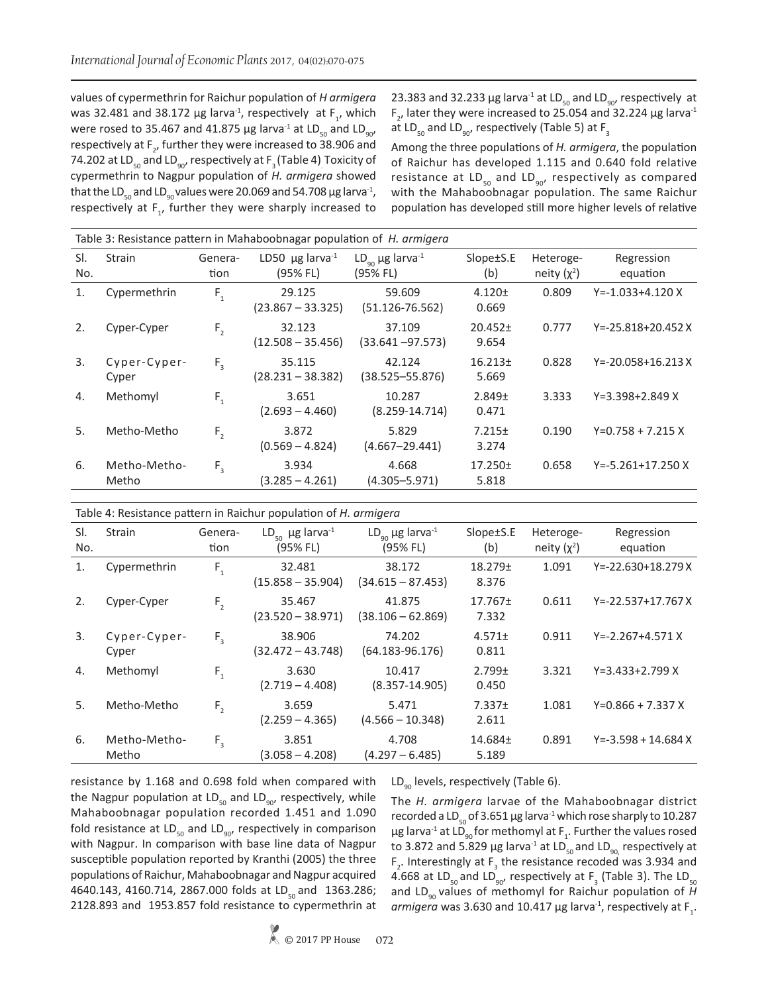values of cypermethrin for Raichur population of *H armigera* was 32.481 and 38.172  $\mu$ g larva<sup>-1</sup>, respectively at F<sub>1</sub>, which were rosed to 35.467 and 41.875 µg larva<sup>-1</sup> at LD<sub>50</sub> and LD<sub>90</sub>, respectively at  $F_{2}$ , further they were increased to 38.906 and 74.202 at LD $_{\rm 50}$  and LD $_{\rm 90'}$  respectively at F $_{\rm 3}$  (Table 4) Toxicity of cypermethrin to Nagpur population of *H. armigera* showed that the LD<sub>50</sub> and LD<sub>90</sub> values were 20.069 and 54.708  $\mu$ g larva<sup>-1</sup>, respectively at  $F_1$ , further they were sharply increased to 23.383 and 32.233  $\mu$ g larva<sup>-1</sup> at LD<sub>50</sub> and LD<sub>90</sub>, respectively at  $F_{2}$ , later they were increased to 25.054 and 32.224  $\mu$ g larva<sup>-1</sup> at LD<sub>50</sub> and LD<sub>90</sub>, respectively (Table 5) at F<sub>3</sub>

Among the three populations of *H. armigera*, the population of Raichur has developed 1.115 and 0.640 fold relative resistance at  $LD_{50}$  and  $LD_{90}$ , respectively as compared with the Mahaboobnagar population. The same Raichur population has developed still more higher levels of relative

|            | Table 3: Resistance pattern in Mahaboobnagar population of H. armigera |                 |                                              |                                               |                       |                            |                          |  |  |
|------------|------------------------------------------------------------------------|-----------------|----------------------------------------------|-----------------------------------------------|-----------------------|----------------------------|--------------------------|--|--|
| SI.<br>No. | <b>Strain</b>                                                          | Genera-<br>tion | LD50 $\mu$ g larva <sup>-1</sup><br>(95% FL) | $LD_{q_0}$ µg larva <sup>-1</sup><br>(95% FL) | Slope±S.E<br>(b)      | Heteroge-<br>neity $(x^2)$ | Regression<br>equation   |  |  |
| 1.         | Cypermethrin                                                           | $F_{1}$         | 29.125<br>$(23.867 - 33.325)$                | 59.609<br>$(51.126 - 76.562)$                 | $4.120 +$<br>0.669    | 0.809                      | $Y = -1.033 + 4.120 X$   |  |  |
| 2.         | Cyper-Cyper                                                            | F <sub>2</sub>  | 32.123<br>$(12.508 - 35.456)$                | 37.109<br>$(33.641 - 97.573)$                 | $20.452 \pm$<br>9.654 | 0.777                      | $Y = -25.818 + 20.452X$  |  |  |
| 3.         | Cyper-Cyper-<br>Cyper                                                  | $F_{3}$         | 35.115<br>$(28.231 - 38.382)$                | 42.124<br>(38.525–55.876)                     | 16.213±<br>5.669      | 0.828                      | $Y = -20.058 + 16.213 X$ |  |  |
| 4.         | Methomyl                                                               | $F_{1}$         | 3.651<br>$(2.693 - 4.460)$                   | 10.287<br>$(8.259 - 14.714)$                  | 2.849±<br>0.471       | 3.333                      | $Y=3.398+2.849 X$        |  |  |
| 5.         | Metho-Metho                                                            | F <sub>2</sub>  | 3.872<br>$(0.569 - 4.824)$                   | 5.829<br>$(4.667 - 29.441)$                   | 7.215±<br>3.274       | 0.190                      | $Y=0.758 + 7.215 X$      |  |  |
| 6.         | Metho-Metho-<br>Metho                                                  | $F_{\rm a}$     | 3.934<br>$(3.285 - 4.261)$                   | 4.668<br>$(4.305 - 5.971)$                    | 17.250±<br>5.818      | 0.658                      | $Y = -5.261 + 17.250 X$  |  |  |

| Table 4: Resistance pattern in Raichur population of H. armigera |  |
|------------------------------------------------------------------|--|
|------------------------------------------------------------------|--|

| SI.<br>No. | <b>Strain</b>         | Genera-<br>tion | $LD_{\epsilon_0}$ µg larva <sup>-1</sup><br>(95% FL) | $LD_{\infty}$ µg larva <sup>-1</sup><br>(95% FL) | Slope±S.E<br>(b)            | Heteroge-<br>neity $(x^2)$ | Regression<br>equation   |
|------------|-----------------------|-----------------|------------------------------------------------------|--------------------------------------------------|-----------------------------|----------------------------|--------------------------|
| 1.         | Cypermethrin          | $F_{1}$         | 32.481<br>$(15.858 - 35.904)$                        | 38.172<br>$(34.615 - 87.453)$                    | 18.279±<br>8.376            | 1.091                      | $Y = -22.630 + 18.279 X$ |
| 2.         | Cyper-Cyper           | $F_{2}$         | 35.467<br>$(23.520 - 38.971)$                        | 41.875<br>$(38.106 - 62.869)$                    | $17.767 \pm$<br>7.332       | 0.611                      | $Y = -22.537 + 17.767 X$ |
| 3.         | Cyper-Cyper-<br>Cyper | $F_{\rm a}$     | 38.906<br>$(32.472 - 43.748)$                        | 74.202<br>$(64.183 - 96.176)$                    | $4.571 \pm$<br>0.811        | 0.911                      | $Y = -2.267 + 4.571 X$   |
| 4.         | Methomyl              | $F_{1}$         | 3.630<br>$(2.719 - 4.408)$                           | 10.417<br>$(8.357 - 14.905)$                     | $2.799 \pm$<br>0.450        | 3.321                      | $Y = 3.433 + 2.799 X$    |
| 5.         | Metho-Metho           | F <sub>2</sub>  | 3.659<br>$(2.259 - 4.365)$                           | 5.471<br>$(4.566 - 10.348)$                      | 7.337 <sub>±</sub><br>2.611 | 1.081                      | $Y=0.866 + 7.337 X$      |
| 6.         | Metho-Metho-<br>Metho | $F_{3}$         | 3.851<br>$(3.058 - 4.208)$                           | 4.708<br>$(4.297 - 6.485)$                       | 14.684±<br>5.189            | 0.891                      | $Y = -3.598 + 14.684 X$  |

resistance by 1.168 and 0.698 fold when compared with the Nagpur population at  $LD_{50}$  and  $LD_{90}$ , respectively, while Mahaboobnagar population recorded 1.451 and 1.090 fold resistance at  $LD_{50}$  and  $LD_{90}$ , respectively in comparison with Nagpur. In comparison with base line data of Nagpur susceptible population reported by Kranthi (2005) the three populations of Raichur, Mahaboobnagar and Nagpur acquired 4640.143, 4160.714, 2867.000 folds at LD<sub>so</sub> and 1363.286; 2128.893 and 1953.857 fold resistance to cypermethrin at  $LD_{q0}$  levels, respectively (Table 6).

The *H. armigera* larvae of the Mahaboobnagar district recorded a LD<sub>50</sub> of 3.651 µg larva<sup>-1</sup> which rose sharply to 10.287  $\mu$ g larva $^{\text{-1}}$  at LD<sub>90</sub> for methomyl at F<sub>1</sub>. Further the values rosed to 3.872 and 5.829 µg larva<sup>-1</sup> at  $LD_{50}$  and  $LD_{90}$  respectively at  $F_2$ . Interestingly at  $F_3$  the resistance recoded was 3.934 and 4.668 at LD<sub>50</sub> and LD<sub>90</sub>, respectively at F<sub>3</sub> (Table 3). The LD<sub>50</sub> and LD<sub>90</sub> values of methomyl for Raichur population of *H* armigera was 3.630 and 10.417  $\mu$ g larva<sup>-1</sup>, respectively at F<sub>1</sub>.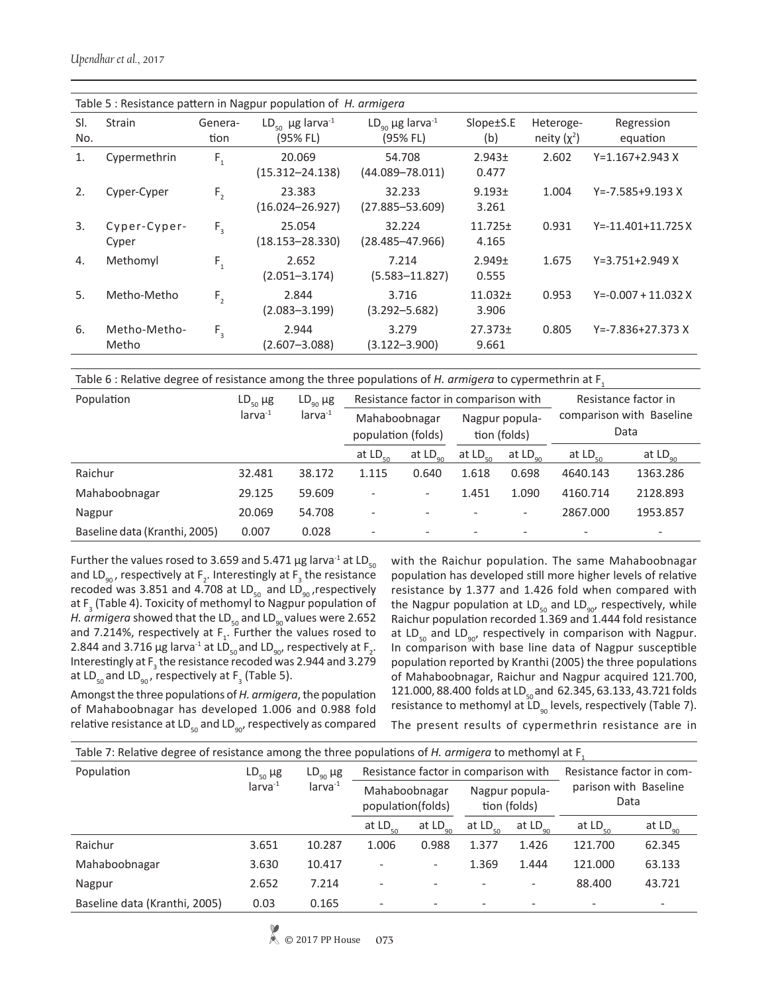|            | Table 5 : Resistance pattern in Nagpur population of H. armigera |                 |                                                      |                                               |                       |                            |                          |  |  |
|------------|------------------------------------------------------------------|-----------------|------------------------------------------------------|-----------------------------------------------|-----------------------|----------------------------|--------------------------|--|--|
| SI.<br>No. | <b>Strain</b>                                                    | Genera-<br>tion | $LD_{\epsilon_0}$ µg larva <sup>-1</sup><br>(95% FL) | $LD_{q_0}$ µg larva <sup>-1</sup><br>(95% FL) | Slope±S.E<br>(b)      | Heteroge-<br>neity $(x^2)$ | Regression<br>equation   |  |  |
| 1.         | Cypermethrin                                                     | $F_{1}$         | 20.069<br>$(15.312 - 24.138)$                        | 54.708<br>$(44.089 - 78.011)$                 | 2.943±<br>0.477       | 2.602                      | Y=1.167+2.943 X          |  |  |
| 2.         | Cyper-Cyper                                                      | F <sub>2</sub>  | 23.383<br>$(16.024 - 26.927)$                        | 32.233<br>$(27.885 - 53.609)$                 | 9.193±<br>3.261       | 1.004                      | Y=-7.585+9.193 X         |  |  |
| 3.         | Cyper-Cyper-<br>Cyper                                            | $F_{3}$         | 25.054<br>$(18.153 - 28.330)$                        | 32.224<br>$(28.485 - 47.966)$                 | $11.725 \pm$<br>4.165 | 0.931                      | $Y = -11.401 + 11.725 X$ |  |  |
| 4.         | Methomyl                                                         | $F_{1}$         | 2.652<br>$(2.051 - 3.174)$                           | 7.214<br>$(5.583 - 11.827)$                   | 2.949±<br>0.555       | 1.675                      | Y=3.751+2.949 X          |  |  |
| 5.         | Metho-Metho                                                      | F <sub>2</sub>  | 2.844<br>$(2.083 - 3.199)$                           | 3.716<br>$(3.292 - 5.682)$                    | $11.032 \pm$<br>3.906 | 0.953                      | $Y = -0.007 + 11.032 X$  |  |  |
| 6.         | Metho-Metho-<br>Metho                                            | $F_{\rm a}$     | 2.944<br>$(2.607 - 3.088)$                           | 3.279<br>$(3.122 - 3.900)$                    | $27.373 \pm$<br>9.661 | 0.805                      | Y=-7.836+27.373 X        |  |  |

Table 6 : Relative degree of resistance among the three populations of *H. armigera* to cypermethrin at F1

| Population                    | $LD_{50} \mu g$ | $LD_{\omega_0} \mu g$ | Resistance factor in comparison with |                                     | Resistance factor in |                                |                                  |                  |
|-------------------------------|-----------------|-----------------------|--------------------------------------|-------------------------------------|----------------------|--------------------------------|----------------------------------|------------------|
|                               | $larva^{-1}$    | $larva^{-1}$          |                                      | Mahaboobnagar<br>population (folds) |                      | Nagpur popula-<br>tion (folds) | comparison with Baseline<br>Data |                  |
|                               |                 |                       | at $LD_{50}$                         | at $LD_{\alpha\alpha}$              | at $LD_{\epsilon_0}$ | at $LD_{\infty}$               | at $LD_{50}$                     | at $LD_{\alpha}$ |
| Raichur                       | 32.481          | 38.172                | 1.115                                | 0.640                               | 1.618                | 0.698                          | 4640.143                         | 1363.286         |
| Mahaboobnagar                 | 29.125          | 59.609                | $\overline{\phantom{0}}$             | $\qquad \qquad -$                   | 1.451                | 1.090                          | 4160.714                         | 2128.893         |
| Nagpur                        | 20.069          | 54.708                | $\overline{\phantom{0}}$             |                                     |                      | -                              | 2867.000                         | 1953.857         |
| Baseline data (Kranthi, 2005) | 0.007           | 0.028                 | $\overline{\phantom{0}}$             | $\overline{\phantom{a}}$            |                      |                                | $\overline{\phantom{0}}$         |                  |

Further the values rosed to 3.659 and 5.471  $\mu$ g larva<sup>-1</sup> at LD<sub>50</sub> and LD<sub>90</sub>, respectively at F<sub>2</sub>. Interestingly at F<sub>3</sub> the resistance recoded was 3.851 and 4.708 at  $LD_{50}$  and  $LD_{90}$ , respectively at  $F_3$  (Table 4). Toxicity of methomyl to Nagpur population of *H. armigera* showed that the LD<sub>50</sub> and LD<sub>90</sub> values were 2.652 and 7.214%, respectively at  $F_1$ . Further the values rosed to 2.844 and 3.716  $\mu$ g larva<sup>-1</sup> at LD<sub>50</sub> and LD<sub>90</sub>, respectively at F<sub>2</sub>. Interestingly at  $F_3$  the resistance recoded was 2.944 and 3.279 at LD<sub>50</sub> and LD<sub>90</sub>, respectively at F<sub>3</sub> (Table 5).

Amongst the three populations of *H. armigera*, the population of Mahaboobnagar has developed 1.006 and 0.988 fold relative resistance at  $LD_{50}$  and  $LD_{90}$ , respectively as compared with the Raichur population. The same Mahaboobnagar population has developed still more higher levels of relative resistance by 1.377 and 1.426 fold when compared with the Nagpur population at  $LD_{50}$  and  $LD_{90}$ , respectively, while Raichur population recorded 1.369 and 1.444 fold resistance at LD<sub>50</sub> and LD<sub>90</sub>, respectively in comparison with Nagpur. In comparison with base line data of Nagpur susceptible population reported by Kranthi (2005) the three populations of Mahaboobnagar, Raichur and Nagpur acquired 121.700, 121.000, 88.400 folds at LD<sub>co</sub> and 62.345, 63.133, 43.721 folds resistance to methomyl at  $LD_{q0}$  levels, respectively (Table 7).

The present results of cypermethrin resistance are in

| Table 7: Relative degree of resistance among the three populations of H. armigera to methomyl at F. |                              |                       |                                    |                                      |                                                            |                          |                                |               |  |  |
|-----------------------------------------------------------------------------------------------------|------------------------------|-----------------------|------------------------------------|--------------------------------------|------------------------------------------------------------|--------------------------|--------------------------------|---------------|--|--|
| Population                                                                                          | $LD_{50} \mu g$              | $LD_{\omega_0} \mu g$ |                                    | Resistance factor in comparison with | Resistance factor in com-<br>parison with Baseline<br>Data |                          |                                |               |  |  |
|                                                                                                     | $larva^{-1}$<br>$larva^{-1}$ |                       | Mahaboobnagar<br>population(folds) |                                      |                                                            |                          | Nagpur popula-<br>tion (folds) |               |  |  |
|                                                                                                     |                              |                       | at $LD_{50}$                       | at $LD_{\alpha\alpha}$               | at $LD_{50}$                                               | at $LD_{\infty}$         | at $LD_{50}$                   | at $LD_{q_0}$ |  |  |
| Raichur                                                                                             | 3.651                        | 10.287                | 1.006                              | 0.988                                | 1.377                                                      | 1.426                    | 121.700                        | 62.345        |  |  |
| Mahaboobnagar                                                                                       | 3.630                        | 10.417                | $\overline{\phantom{0}}$           | $\overline{\phantom{a}}$             | 1.369                                                      | 1.444                    | 121.000                        | 63.133        |  |  |
| Nagpur                                                                                              | 2.652                        | 7.214                 | $\overline{\phantom{0}}$           |                                      |                                                            | $\overline{\phantom{a}}$ | 88.400                         | 43.721        |  |  |
| Baseline data (Kranthi, 2005)                                                                       | 0.03                         | 0.165                 |                                    |                                      |                                                            |                          |                                |               |  |  |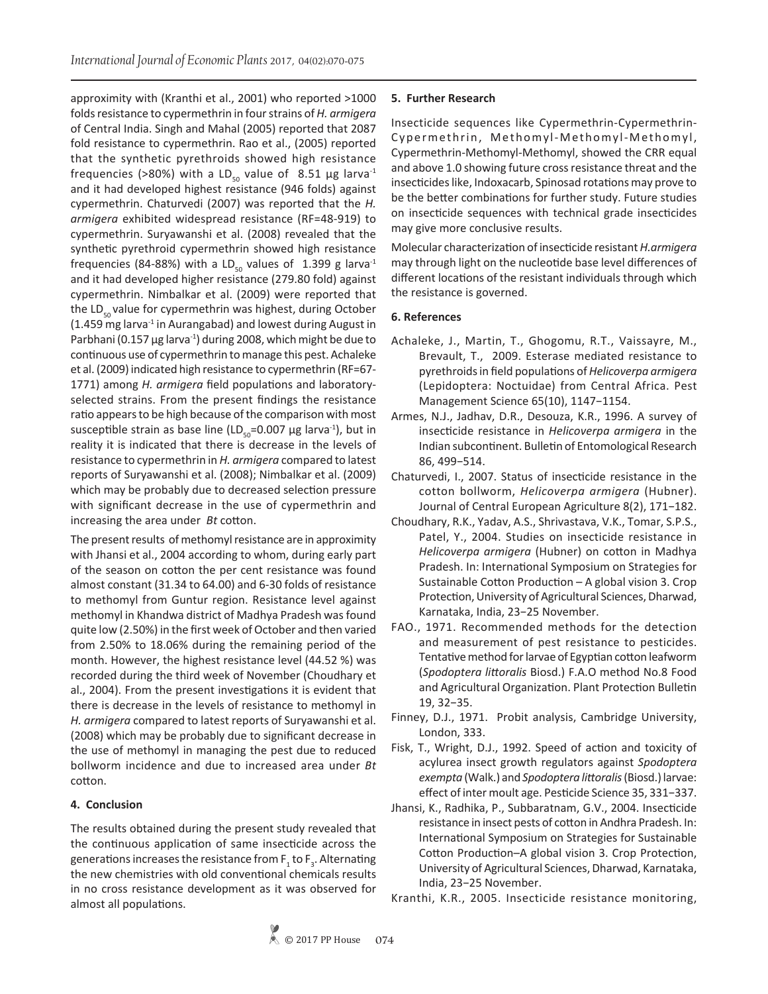approximity with (Kranthi et al., 2001) who reported >1000 folds resistance to cypermethrin in four strains of *H. armigera* of Central India. Singh and Mahal (2005) reported that 2087 fold resistance to cypermethrin. Rao et al., (2005) reported that the synthetic pyrethroids showed high resistance frequencies (>80%) with a LD<sub>50</sub> value of 8.51 µg larva<sup>-1</sup> and it had developed highest resistance (946 folds) against cypermethrin. Chaturvedi (2007) was reported that the *H. armigera* exhibited widespread resistance (RF=48-919) to cypermethrin. Suryawanshi et al. (2008) revealed that the synthetic pyrethroid cypermethrin showed high resistance frequencies (84-88%) with a LD<sub>50</sub> values of 1.399 g larva<sup>-1</sup> and it had developed higher resistance (279.80 fold) against cypermethrin. Nimbalkar et al. (2009) were reported that the LD $_{50}$  value for cypermethrin was highest, during October  $(1.459 \text{ mg} \text{ larva}^{-1} \text{ in Aurangabad})$  and lowest during August in Parbhani (0.157  $\mu$ g larva<sup>-1</sup>) during 2008, which might be due to continuous use of cypermethrin to manage this pest. Achaleke et al. (2009) indicated high resistance to cypermethrin (RF=67- 1771) among *H. armigera* field populations and laboratoryselected strains. From the present findings the resistance ratio appears to be high because of the comparison with most susceptible strain as base line (LD<sub>50</sub>=0.007 µg larva<sup>-1</sup>), but in reality it is indicated that there is decrease in the levels of resistance to cypermethrin in *H. armigera* compared to latest reports of Suryawanshi et al. (2008); Nimbalkar et al. (2009) which may be probably due to decreased selection pressure with significant decrease in the use of cypermethrin and increasing the area under *Bt* cotton.

The present results of methomyl resistance are in approximity with Jhansi et al., 2004 according to whom, during early part of the season on cotton the per cent resistance was found almost constant (31.34 to 64.00) and 6-30 folds of resistance to methomyl from Guntur region. Resistance level against methomyl in Khandwa district of Madhya Pradesh was found quite low (2.50%) in the first week of October and then varied from 2.50% to 18.06% during the remaining period of the month. However, the highest resistance level (44.52 %) was recorded during the third week of November (Choudhary et al., 2004). From the present investigations it is evident that there is decrease in the levels of resistance to methomyl in *H. armigera* compared to latest reports of Suryawanshi et al. (2008) which may be probably due to significant decrease in the use of methomyl in managing the pest due to reduced bollworm incidence and due to increased area under *Bt* cotton.

## **4. Conclusion**

The results obtained during the present study revealed that the continuous application of same insecticide across the generations increases the resistance from  $\mathsf{F}_\mathfrak{z}$  to  $\mathsf{F}_\mathfrak{z}.$  Alternating the new chemistries with old conventional chemicals results in no cross resistance development as it was observed for almost all populations.

## **5. Further Research**

Insecticide sequences like Cypermethrin-Cypermethrin-Cypermethrin, Methomyl-Methomyl-Methomyl, Cypermethrin-Methomyl-Methomyl, showed the CRR equal and above 1.0 showing future cross resistance threat and the insecticides like, Indoxacarb, Spinosad rotations may prove to be the better combinations for further study. Future studies on insecticide sequences with technical grade insecticides may give more conclusive results.

Molecular characterization of insecticide resistant *H.armigera* may through light on the nucleotide base level differences of different locations of the resistant individuals through which the resistance is governed.

## **6. References**

- Achaleke, J., Martin, T., Ghogomu, R.T., Vaissayre, M., Brevault, T., 2009. Esterase mediated resistance to pyrethroids in field populations of *Helicoverpa armigera* (Lepidoptera: Noctuidae) from Central Africa. Pest Management Science 65(10), 1147−1154.
- Armes, N.J., Jadhav, D.R., Desouza, K.R., 1996. A survey of insecticide resistance in *Helicoverpa armigera* in the Indian subcontinent. Bulletin of Entomological Research 86, 499−514.
- Chaturvedi, I., 2007. Status of insecticide resistance in the cotton bollworm, *Helicoverpa armigera* (Hubner). Journal of Central European Agriculture 8(2), 171−182.
- Choudhary, R.K., Yadav, A.S., Shrivastava, V.K., Tomar, S.P.S., Patel, Y., 2004. Studies on insecticide resistance in *Helicoverpa armigera* (Hubner) on cotton in Madhya Pradesh. In: International Symposium on Strategies for Sustainable Cotton Production – A global vision 3. Crop Protection, University of Agricultural Sciences, Dharwad, Karnataka, India, 23−25 November.
- FAO., 1971. Recommended methods for the detection and measurement of pest resistance to pesticides. Tentative method for larvae of Egyptian cotton leafworm (*Spodoptera littoralis* Biosd.) F.A.O method No.8 Food and Agricultural Organization. Plant Protection Bulletin 19, 32−35.
- Finney, D.J., 1971. Probit analysis, Cambridge University, London, 333.
- Fisk, T., Wright, D.J., 1992. Speed of action and toxicity of acylurea insect growth regulators against *Spodoptera exempta* (Walk.) and *Spodoptera littoralis* (Biosd.) larvae: effect of inter moult age. Pesticide Science 35, 331−337.
- Jhansi, K., Radhika, P., Subbaratnam, G.V., 2004. Insecticide resistance in insect pests of cotton in Andhra Pradesh. In: International Symposium on Strategies for Sustainable Cotton Production–A global vision 3. Crop Protection, University of Agricultural Sciences, Dharwad, Karnataka, India, 23−25 November.
- Kranthi, K.R., 2005. Insecticide resistance monitoring,